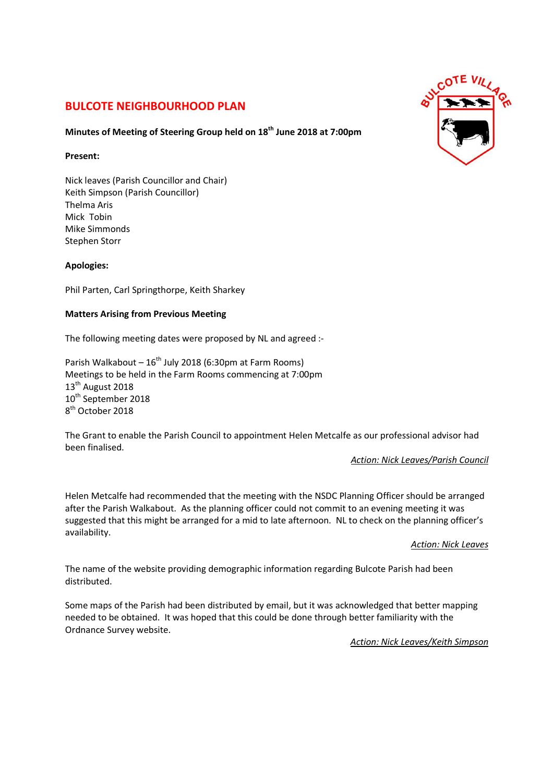# **BULCOTE NEIGHBOURHOOD PLAN**

## **Minutes of Meeting of Steering Group held on 18th June 2018 at 7:00pm**

#### **Present:**

Nick leaves (Parish Councillor and Chair) Keith Simpson (Parish Councillor) Thelma Aris Mick Tobin Mike Simmonds Stephen Storr

## **Apologies:**

Phil Parten, Carl Springthorpe, Keith Sharkey

### **Matters Arising from Previous Meeting**

The following meeting dates were proposed by NL and agreed :-

Parish Walkabout –  $16^{th}$  July 2018 (6:30pm at Farm Rooms) Meetings to be held in the Farm Rooms commencing at 7:00pm 13<sup>th</sup> August 2018 10<sup>th</sup> September 2018 8<sup>th</sup> October 2018

The Grant to enable the Parish Council to appointment Helen Metcalfe as our professional advisor had been finalised.

*Action: Nick Leaves/Parish Council* 

Helen Metcalfe had recommended that the meeting with the NSDC Planning Officer should be arranged after the Parish Walkabout. As the planning officer could not commit to an evening meeting it was suggested that this might be arranged for a mid to late afternoon. NL to check on the planning officer's availability.

*Action: Nick Leaves* 

The name of the website providing demographic information regarding Bulcote Parish had been distributed.

Some maps of the Parish had been distributed by email, but it was acknowledged that better mapping needed to be obtained. It was hoped that this could be done through better familiarity with the Ordnance Survey website.

*Action: Nick Leaves/Keith Simpson*